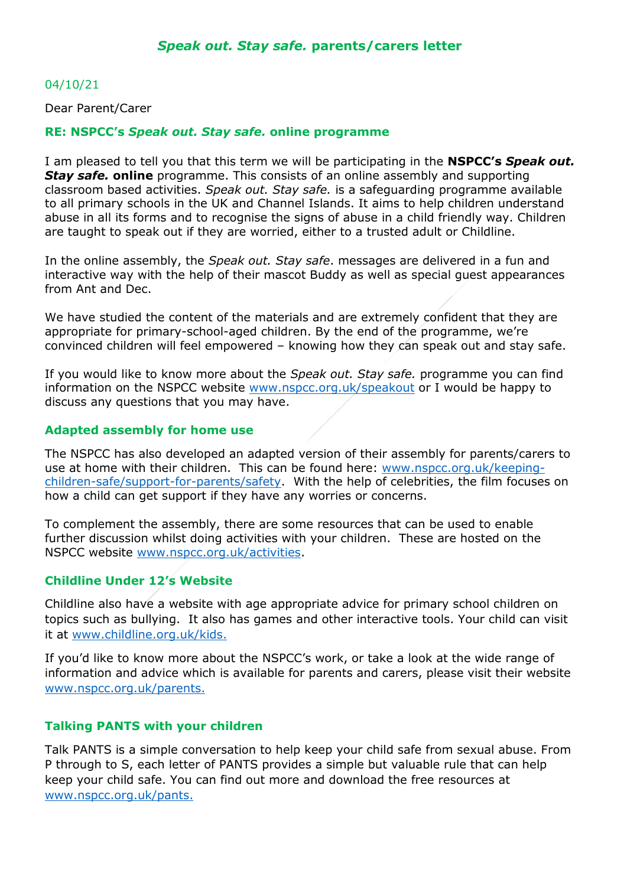## 04/10/21

Dear Parent/Carer

#### **RE: NSPCC's** *Speak out. Stay safe.* **online programme**

I am pleased to tell you that this term we will be participating in the **NSPCC's** *Speak out. Stay safe.* **online** programme. This consists of an online assembly and supporting classroom based activities. *Speak out. Stay safe.* is a safeguarding programme available to all primary schools in the UK and Channel Islands. It aims to help children understand abuse in all its forms and to recognise the signs of abuse in a child friendly way. Children are taught to speak out if they are worried, either to a trusted adult or Childline.

In the online assembly, the *Speak out. Stay safe*. messages are delivered in a fun and interactive way with the help of their mascot Buddy as well as special guest appearances from Ant and Dec.

We have studied the content of the materials and are extremely confident that they are appropriate for primary-school-aged children. By the end of the programme, we're convinced children will feel empowered – knowing how they can speak out and stay safe.

If you would like to know more about the *Speak out. Stay safe.* programme you can find information on the NSPCC website [www.nspcc.org.uk/speakout](http://www.nspcc.org.uk/speakout) or I would be happy to discuss any questions that you may have.

#### **Adapted assembly for home use**

The NSPCC has also developed an adapted version of their assembly for parents/carers to use at home with their children.This can be found here: [www.nspcc.org.uk/keeping](http://www.nspcc.org.uk/keeping-children-safe/support-for-parents/safety)[children-safe/support-for-parents/safety.](http://www.nspcc.org.uk/keeping-children-safe/support-for-parents/safety) With the help of celebrities, the film focuses on how a child can get support if they have any worries or concerns.

To complement the assembly, there are some resources that can be used to enable further discussion whilst doing activities with your children. These are hosted on the NSPCC website [www.nspcc.org.uk/activities.](http://www.nspcc.org.uk/activities)

## **Childline Under 12's Website**

Childline also have a website with age appropriate advice for primary school children on topics such as bullying. It also has games and other interactive tools. Your child can visit it at [www.childline.org.uk/kids.](http://www.childline.org.uk/kids)

If you'd like to know more about the NSPCC's work, or take a look at the wide range of information and advice which is available for parents and carers, please visit their website [www.nspcc.org.uk/parents.](http://www.nspcc.org.uk/parents)

## **Talking PANTS with your children**

Talk PANTS is a simple conversation to help keep your child safe from sexual abuse. From P through to S, each letter of PANTS provides a simple but valuable rule that can help keep your child safe. You can find out more and download the free resources at [www.nspcc.org.uk/pants.](http://www.nspcc.org.uk/pants)